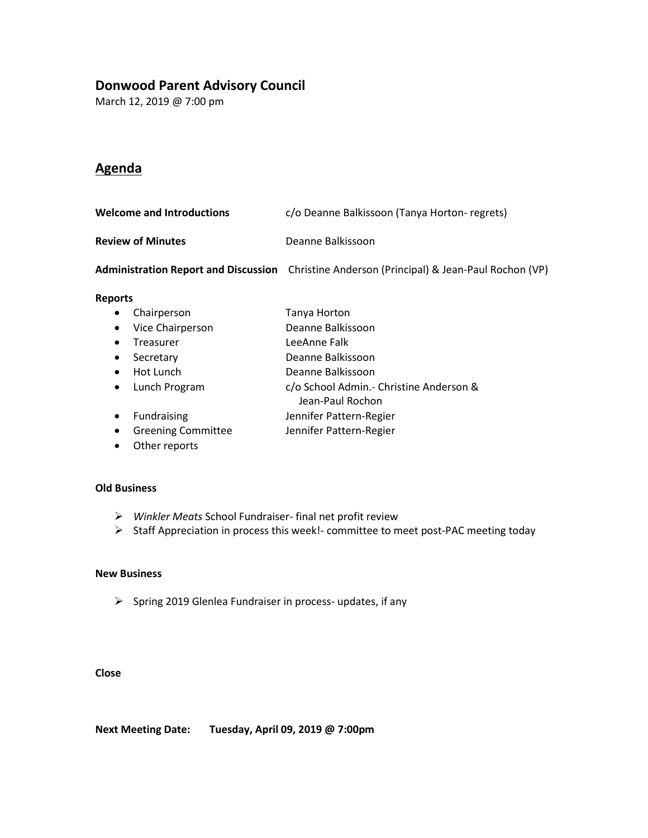## **Donwood Parent Advisory Council**

March 12, 2019 @ 7:00 pm

## **Agenda**

| <b>Welcome and Introductions</b> | c/o Deanne Balkissoon (Tanya Horton- regrets)                                               |
|----------------------------------|---------------------------------------------------------------------------------------------|
| <b>Review of Minutes</b>         | Deanne Balkissoon                                                                           |
|                                  | Administration Report and Discussion Christine Anderson (Principal) & Jean-Paul Rochon (VP) |
| <b>Reports</b>                   |                                                                                             |
| Chairperson<br>$\bullet$         | Tanya Horton                                                                                |

## • Vice Chairperson Deanne Balkissoon

- Treasurer LeeAnne Falk
- Secretary Deanne Balkissoon
- 
- Hot Lunch Deanne Balkissoon
- Lunch Program c/o School Admin.- Christine Anderson &
	- Jean-Paul Rochon
- Fundraising **Jennifer Pattern-Regier**
- Greening Committee Jennifer Pattern-Regier
- Other reports

#### **Old Business**

- ➢ *Winkler Meats* School Fundraiser- final net profit review
- ➢ Staff Appreciation in process this week!- committee to meet post-PAC meeting today

#### **New Business**

➢ Spring 2019 Glenlea Fundraiser in process- updates, if any

#### **Close**

**Next Meeting Date: Tuesday, April 09, 2019 @ 7:00pm**